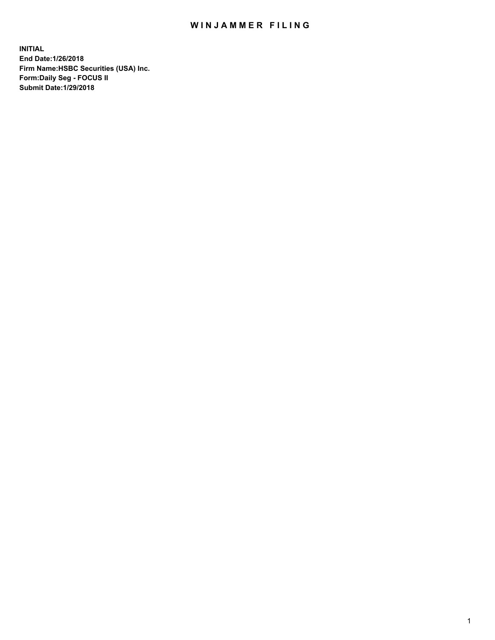## WIN JAMMER FILING

**INITIAL End Date:1/26/2018 Firm Name:HSBC Securities (USA) Inc. Form:Daily Seg - FOCUS II Submit Date:1/29/2018**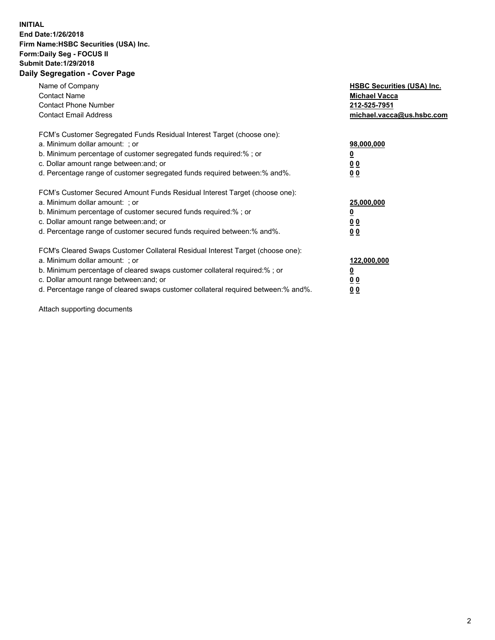## **INITIAL End Date:1/26/2018 Firm Name:HSBC Securities (USA) Inc. Form:Daily Seg - FOCUS II Submit Date:1/29/2018 Daily Segregation - Cover Page**

| Name of Company<br><b>Contact Name</b><br><b>Contact Phone Number</b><br><b>Contact Email Address</b>                                                                                                                                                                                                                         | <b>HSBC Securities (USA) Inc.</b><br><b>Michael Vacca</b><br>212-525-7951<br>michael.vacca@us.hsbc.com |
|-------------------------------------------------------------------------------------------------------------------------------------------------------------------------------------------------------------------------------------------------------------------------------------------------------------------------------|--------------------------------------------------------------------------------------------------------|
| FCM's Customer Segregated Funds Residual Interest Target (choose one):<br>a. Minimum dollar amount: ; or<br>b. Minimum percentage of customer segregated funds required:%; or<br>c. Dollar amount range between: and; or<br>d. Percentage range of customer segregated funds required between: % and %.                       | 98,000,000<br><u>0</u><br><u>00</u><br><u>00</u>                                                       |
| FCM's Customer Secured Amount Funds Residual Interest Target (choose one):<br>a. Minimum dollar amount: ; or<br>b. Minimum percentage of customer secured funds required:%; or<br>c. Dollar amount range between: and; or<br>d. Percentage range of customer secured funds required between: % and %.                         | 25,000,000<br><u>0</u><br><u>00</u><br>00                                                              |
| FCM's Cleared Swaps Customer Collateral Residual Interest Target (choose one):<br>a. Minimum dollar amount: ; or<br>b. Minimum percentage of cleared swaps customer collateral required:%; or<br>c. Dollar amount range between: and; or<br>d. Percentage range of cleared swaps customer collateral required between:% and%. | 122,000,000<br><u>0</u><br><u>00</u><br><u>00</u>                                                      |

Attach supporting documents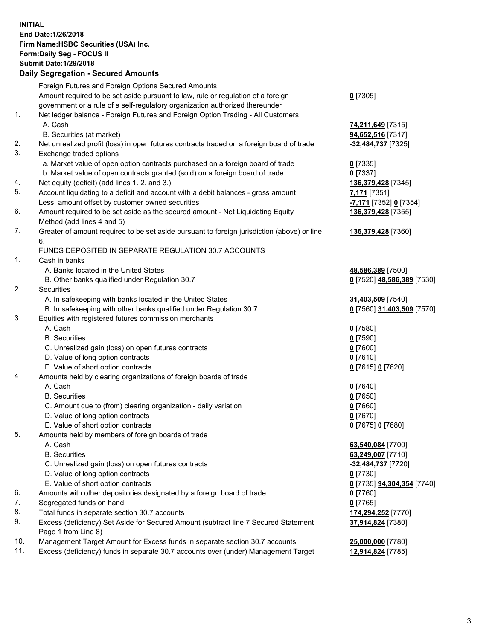**INITIAL End Date:1/26/2018 Firm Name:HSBC Securities (USA) Inc. Form:Daily Seg - FOCUS II Submit Date:1/29/2018 Daily Segregation - Secured Amounts** Foreign Futures and Foreign Options Secured Amounts Amount required to be set aside pursuant to law, rule or regulation of a foreign government or a rule of a self-regulatory organization authorized thereunder 1. Net ledger balance - Foreign Futures and Foreign Option Trading - All Customers A. Cash **74,211,649** [7315] B. Securities (at market) **94,652,516** [7317] 2. Net unrealized profit (loss) in open futures contracts traded on a foreign board of trade **-32,484,737** [7325] 3. Exchange traded options a. Market value of open option contracts purchased on a foreign board of trade **0** [7335] b. Market value of open contracts granted (sold) on a foreign board of trade **0** [7337]

- 4. Net equity (deficit) (add lines 1. 2. and 3.) **136,379,428** [7345]
- 5. Account liquidating to a deficit and account with a debit balances gross amount **7,171** [7351] Less: amount offset by customer owned securities **-7,171** [7352] **0** [7354]
- 6. Amount required to be set aside as the secured amount Net Liquidating Equity Method (add lines 4 and 5)
- 7. Greater of amount required to be set aside pursuant to foreign jurisdiction (above) or line 6.

## FUNDS DEPOSITED IN SEPARATE REGULATION 30.7 ACCOUNTS

- 1. Cash in banks
	- A. Banks located in the United States **48,586,389** [7500]
	- B. Other banks qualified under Regulation 30.7 **0** [7520] **48,586,389** [7530]
- 2. Securities
	- A. In safekeeping with banks located in the United States **31,403,509** [7540]
	- B. In safekeeping with other banks qualified under Regulation 30.7 **0** [7560] **31,403,509** [7570]
- 3. Equities with registered futures commission merchants
	- A. Cash **0** [7580]
	- B. Securities **0** [7590]
	- C. Unrealized gain (loss) on open futures contracts **0** [7600]
	- D. Value of long option contracts **0** [7610]
	- E. Value of short option contracts **0** [7615] **0** [7620]
- 4. Amounts held by clearing organizations of foreign boards of trade
	- A. Cash **0** [7640]
	- B. Securities **0** [7650]
	- C. Amount due to (from) clearing organization daily variation **0** [7660]
	- D. Value of long option contracts **0** [7670]
	- E. Value of short option contracts **0** [7675] **0** [7680]
- 5. Amounts held by members of foreign boards of trade
	- A. Cash **63,540,084** [7700]
	- B. Securities **63,249,007** [7710]
	- C. Unrealized gain (loss) on open futures contracts **-32,484,737** [7720]
	- D. Value of long option contracts **0** [7730]
	- E. Value of short option contracts **0** [7735] **94,304,354** [7740]
- 6. Amounts with other depositories designated by a foreign board of trade **0** [7760]
- 7. Segregated funds on hand **0** [7765]
- 8. Total funds in separate section 30.7 accounts **174,294,252** [7770]
- 9. Excess (deficiency) Set Aside for Secured Amount (subtract line 7 Secured Statement Page 1 from Line 8)
- 10. Management Target Amount for Excess funds in separate section 30.7 accounts **25,000,000** [7780]
- 11. Excess (deficiency) funds in separate 30.7 accounts over (under) Management Target **12,914,824** [7785]

**0** [7305]

**136,379,428** [7355]

**136,379,428** [7360]

**37,914,824** [7380]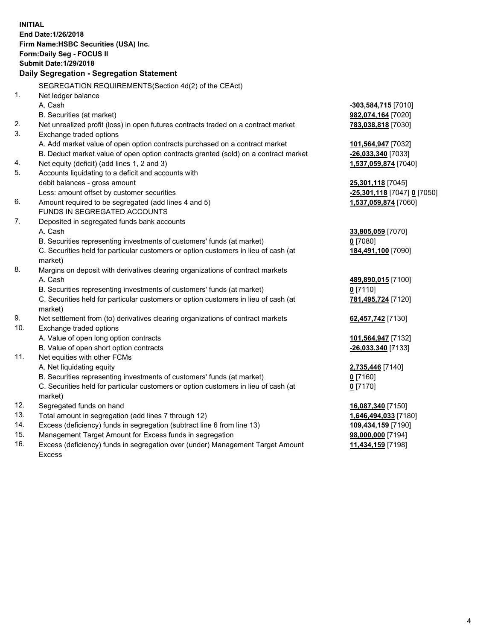**INITIAL End Date:1/26/2018 Firm Name:HSBC Securities (USA) Inc. Form:Daily Seg - FOCUS II Submit Date:1/29/2018 Daily Segregation - Segregation Statement** SEGREGATION REQUIREMENTS(Section 4d(2) of the CEAct) 1. Net ledger balance A. Cash **-303,584,715** [7010] B. Securities (at market) **982,074,164** [7020] 2. Net unrealized profit (loss) in open futures contracts traded on a contract market **783,038,818** [7030] 3. Exchange traded options A. Add market value of open option contracts purchased on a contract market **101,564,947** [7032] B. Deduct market value of open option contracts granted (sold) on a contract market **-26,033,340** [7033] 4. Net equity (deficit) (add lines 1, 2 and 3) **1,537,059,874** [7040] 5. Accounts liquidating to a deficit and accounts with debit balances - gross amount **25,301,118** [7045] Less: amount offset by customer securities **-25,301,118** [7047] **0** [7050] 6. Amount required to be segregated (add lines 4 and 5) **1,537,059,874** [7060] FUNDS IN SEGREGATED ACCOUNTS 7. Deposited in segregated funds bank accounts A. Cash **33,805,059** [7070] B. Securities representing investments of customers' funds (at market) **0** [7080] C. Securities held for particular customers or option customers in lieu of cash (at market) **184,491,100** [7090] 8. Margins on deposit with derivatives clearing organizations of contract markets A. Cash **489,890,015** [7100] B. Securities representing investments of customers' funds (at market) **0** [7110] C. Securities held for particular customers or option customers in lieu of cash (at market) **781,495,724** [7120] 9. Net settlement from (to) derivatives clearing organizations of contract markets **62,457,742** [7130] 10. Exchange traded options A. Value of open long option contracts **101,564,947** [7132] B. Value of open short option contracts **-26,033,340** [7133] 11. Net equities with other FCMs A. Net liquidating equity **2,735,446** [7140] B. Securities representing investments of customers' funds (at market) **0** [7160] C. Securities held for particular customers or option customers in lieu of cash (at market) **0** [7170] 12. Segregated funds on hand **16,087,340** [7150] 13. Total amount in segregation (add lines 7 through 12) **1,646,494,033** [7180] 14. Excess (deficiency) funds in segregation (subtract line 6 from line 13) **109,434,159** [7190] 15. Management Target Amount for Excess funds in segregation **98,000,000** [7194]

16. Excess (deficiency) funds in segregation over (under) Management Target Amount Excess

**11,434,159** [7198]